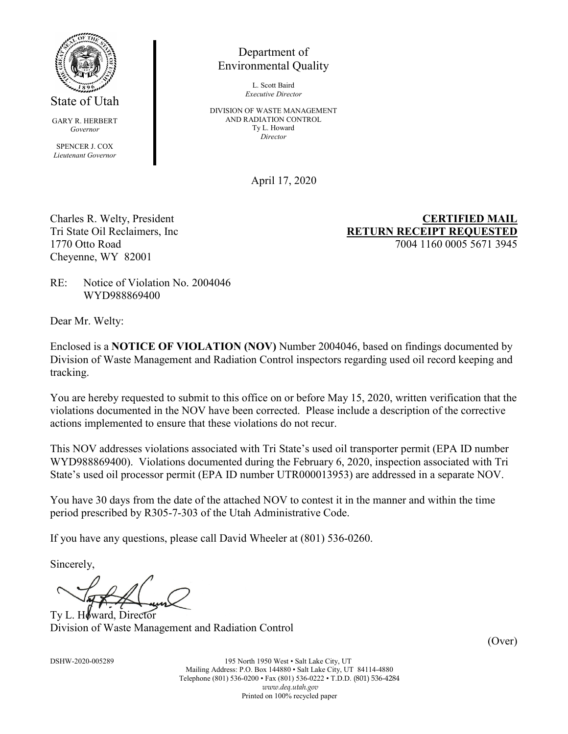

GARY R. HERBERT *Governor*

SPENCER J. COX *Lieutenant Governor*

# Department of Environmental Quality

L. Scott Baird *Executive Director*

DIVISION OF WASTE MANAGEMENT AND RADIATION CONTROL Ty L. Howard *Director*

April 17, 2020

Cheyenne, WY 82001

Charles R. Welty, President **CERTIFIED MAIL** Tri State Oil Reclaimers, Inc **RETURN RECEIPT REQUESTED** 1770 Otto Road 7004 1160 0005 5671 3945

RE: Notice of Violation No. 2004046 WYD988869400

Dear Mr. Welty:

Enclosed is a **NOTICE OF VIOLATION (NOV)** Number 2004046, based on findings documented by Division of Waste Management and Radiation Control inspectors regarding used oil record keeping and tracking.

You are hereby requested to submit to this office on or before May 15, 2020, written verification that the violations documented in the NOV have been corrected. Please include a description of the corrective actions implemented to ensure that these violations do not recur.

This NOV addresses violations associated with Tri State's used oil transporter permit (EPA ID number WYD988869400). Violations documented during the February 6, 2020, inspection associated with Tri State's used oil processor permit (EPA ID number UTR000013953) are addressed in a separate NOV.

You have 30 days from the date of the attached NOV to contest it in the manner and within the time period prescribed by R305-7-303 of the Utah Administrative Code.

If you have any questions, please call David Wheeler at (801) 536-0260.

Sincerely,

Ty L. Howard, Director Division of Waste Management and Radiation Control

(Over)

DSHW-2020-005289 195 North 1950 West • Salt Lake City, UT Mailing Address: P.O. Box 144880 • Salt Lake City, UT 84114-4880 Telephone (801) 536-0200 • Fax (801) 536-0222 • T.D.D. (801) 536-4284 *www.deq.utah.gov* Printed on 100% recycled paper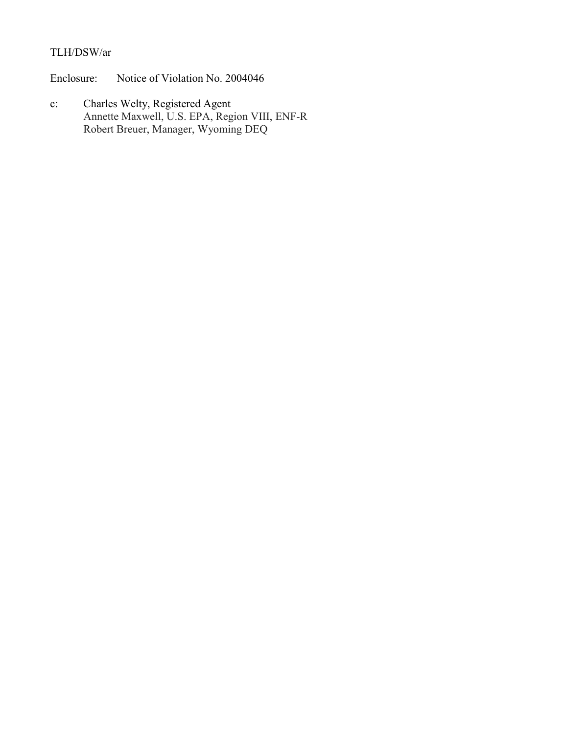# TLH/DSW/ar

Enclosure: Notice of Violation No. 2004046

c: Charles Welty, Registered Agent Annette Maxwell, U.S. EPA, Region VIII, ENF-R Robert Breuer, Manager, Wyoming DEQ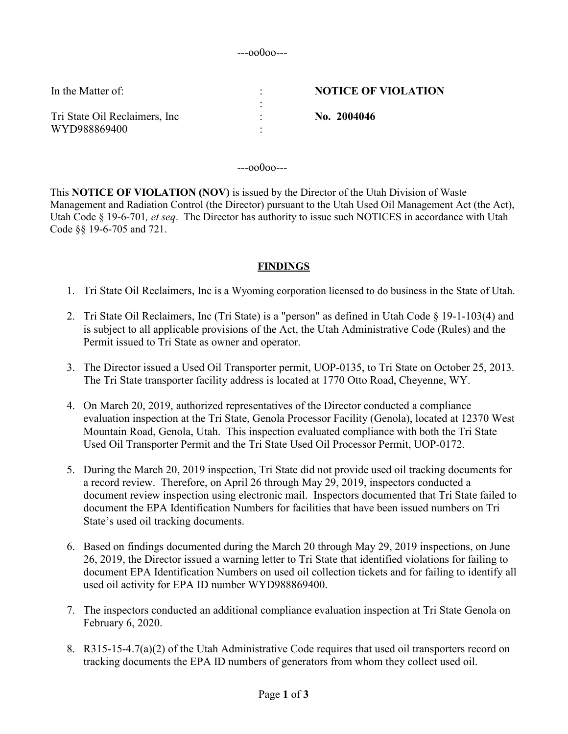#### ---oo0oo---

| In the Matter of:              | <b>NOTICE OF VIOLATION</b> |
|--------------------------------|----------------------------|
| Tri State Oil Reclaimers, Inc. | No. 2004046                |
| WYD988869400                   |                            |

---oo0oo---

This **NOTICE OF VIOLATION (NOV)** is issued by the Director of the Utah Division of Waste Management and Radiation Control (the Director) pursuant to the Utah Used Oil Management Act (the Act), Utah Code § 19-6-701*, et seq*. The Director has authority to issue such NOTICES in accordance with Utah Code §§ 19-6-705 and 721.

#### **FINDINGS**

- 1. Tri State Oil Reclaimers, Inc is a Wyoming corporation licensed to do business in the State of Utah.
- 2. Tri State Oil Reclaimers, Inc (Tri State) is a "person" as defined in Utah Code § 19-1-103(4) and is subject to all applicable provisions of the Act, the Utah Administrative Code (Rules) and the Permit issued to Tri State as owner and operator.
- 3. The Director issued a Used Oil Transporter permit, UOP-0135, to Tri State on October 25, 2013. The Tri State transporter facility address is located at 1770 Otto Road, Cheyenne, WY.
- 4. On March 20, 2019, authorized representatives of the Director conducted a compliance evaluation inspection at the Tri State, Genola Processor Facility (Genola), located at 12370 West Mountain Road, Genola, Utah. This inspection evaluated compliance with both the Tri State Used Oil Transporter Permit and the Tri State Used Oil Processor Permit, UOP-0172.
- 5. During the March 20, 2019 inspection, Tri State did not provide used oil tracking documents for a record review. Therefore, on April 26 through May 29, 2019, inspectors conducted a document review inspection using electronic mail. Inspectors documented that Tri State failed to document the EPA Identification Numbers for facilities that have been issued numbers on Tri State's used oil tracking documents.
- 6. Based on findings documented during the March 20 through May 29, 2019 inspections, on June 26, 2019, the Director issued a warning letter to Tri State that identified violations for failing to document EPA Identification Numbers on used oil collection tickets and for failing to identify all used oil activity for EPA ID number WYD988869400.
- 7. The inspectors conducted an additional compliance evaluation inspection at Tri State Genola on February 6, 2020.
- 8. R315-15-4.7(a)(2) of the Utah Administrative Code requires that used oil transporters record on tracking documents the EPA ID numbers of generators from whom they collect used oil.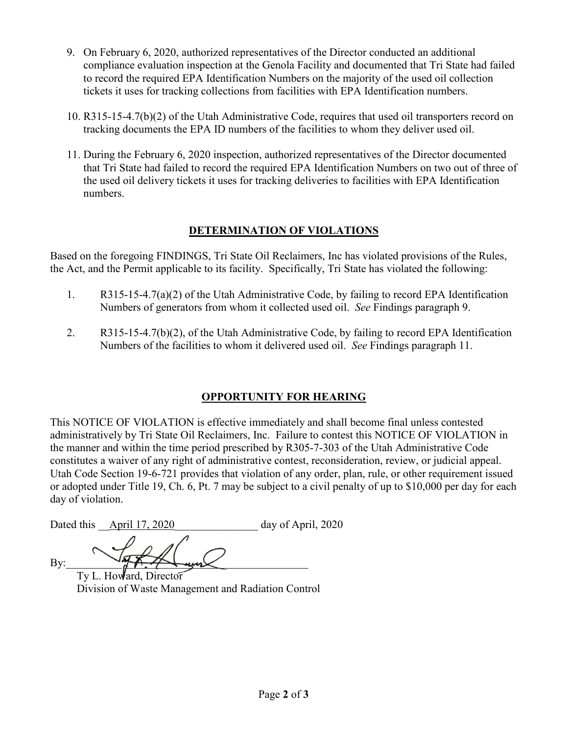- 9. On February 6, 2020, authorized representatives of the Director conducted an additional compliance evaluation inspection at the Genola Facility and documented that Tri State had failed to record the required EPA Identification Numbers on the majority of the used oil collection tickets it uses for tracking collections from facilities with EPA Identification numbers.
- 10. R315-15-4.7(b)(2) of the Utah Administrative Code, requires that used oil transporters record on tracking documents the EPA ID numbers of the facilities to whom they deliver used oil.
- 11. During the February 6, 2020 inspection, authorized representatives of the Director documented that Tri State had failed to record the required EPA Identification Numbers on two out of three of the used oil delivery tickets it uses for tracking deliveries to facilities with EPA Identification numbers.

## **DETERMINATION OF VIOLATIONS**

Based on the foregoing FINDINGS, Tri State Oil Reclaimers, Inc has violated provisions of the Rules, the Act, and the Permit applicable to its facility. Specifically, Tri State has violated the following:

- 1. R315-15-4.7(a)(2) of the Utah Administrative Code, by failing to record EPA Identification Numbers of generators from whom it collected used oil. *See* Findings paragraph 9.
- 2. R315-15-4.7(b)(2), of the Utah Administrative Code, by failing to record EPA Identification Numbers of the facilities to whom it delivered used oil. *See* Findings paragraph 11.

## **OPPORTUNITY FOR HEARING**

This NOTICE OF VIOLATION is effective immediately and shall become final unless contested administratively by Tri State Oil Reclaimers, Inc. Failure to contest this NOTICE OF VIOLATION in the manner and within the time period prescribed by R305-7-303 of the Utah Administrative Code constitutes a waiver of any right of administrative contest, reconsideration, review, or judicial appeal. Utah Code Section 19-6-721 provides that violation of any order, plan, rule, or other requirement issued or adopted under Title 19, Ch. 6, Pt. 7 may be subject to a civil penalty of up to \$10,000 per day for each day of violation.

Dated this <u>April 17, 2020</u> day of April, 2020

By:  $\longrightarrow$ 

Ty L. Howard, Director Division of Waste Management and Radiation Control